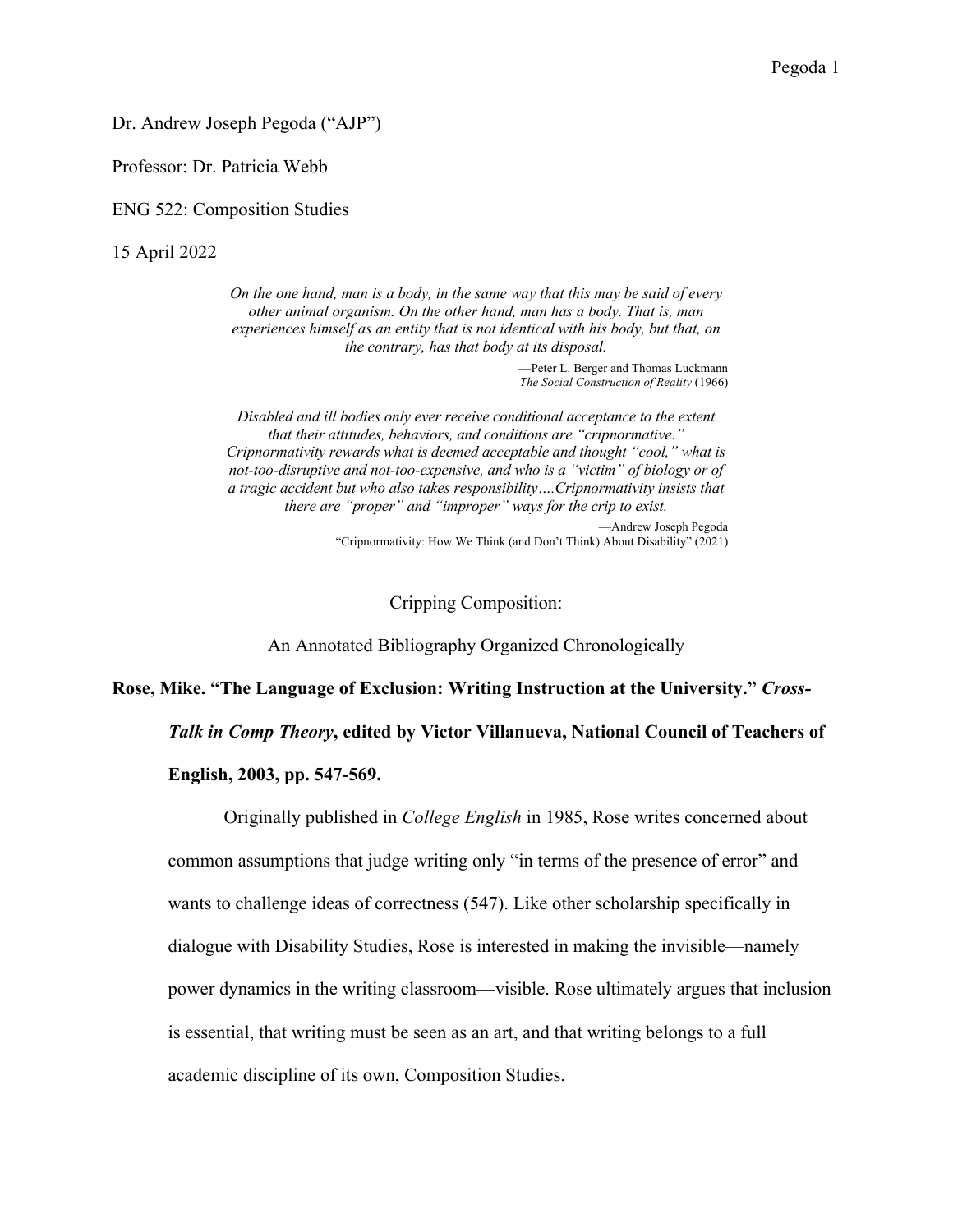Dr. Andrew Joseph Pegoda ("AJP")

Professor: Dr. Patricia Webb

ENG 522: Composition Studies

15 April 2022

*On the one hand, man is a body, in the same way that this may be said of every other animal organism. On the other hand, man has a body. That is, man experiences himself as an entity that is not identical with his body, but that, on the contrary, has that body at its disposal.*

> —Peter L. Berger and Thomas Luckmann *The Social Construction of Reality* (1966)

*Disabled and ill bodies only ever receive conditional acceptance to the extent that their attitudes, behaviors, and conditions are "cripnormative." Cripnormativity rewards what is deemed acceptable and thought "cool," what is not-too-disruptive and not-too-expensive, and who is a "victim" of biology or of a tragic accident but who also takes responsibility….Cripnormativity insists that there are "proper" and "improper" ways for the crip to exist.* —Andrew Joseph Pegoda

"Cripnormativity: How We Think (and Don't Think) About Disability" (2021)

Cripping Composition:

An Annotated Bibliography Organized Chronologically

**Rose, Mike. "The Language of Exclusion: Writing Instruction at the University."** *Cross-*

*Talk in Comp Theory***, edited by Victor Villanueva, National Council of Teachers of** 

**English, 2003, pp. 547-569.**

Originally published in *College English* in 1985, Rose writes concerned about common assumptions that judge writing only "in terms of the presence of error" and wants to challenge ideas of correctness (547). Like other scholarship specifically in dialogue with Disability Studies, Rose is interested in making the invisible—namely power dynamics in the writing classroom—visible. Rose ultimately argues that inclusion is essential, that writing must be seen as an art, and that writing belongs to a full academic discipline of its own, Composition Studies.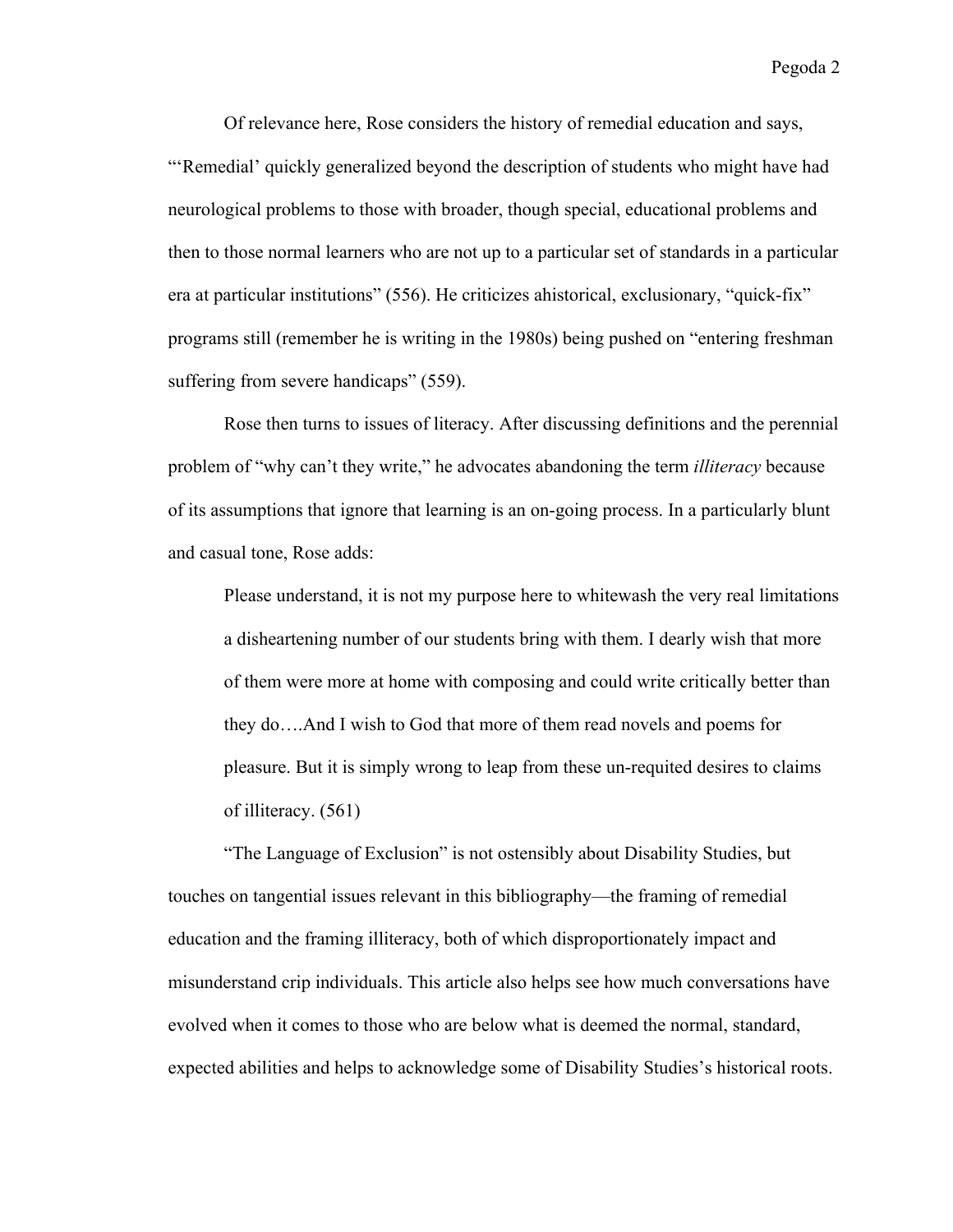Of relevance here, Rose considers the history of remedial education and says, "'Remedial' quickly generalized beyond the description of students who might have had neurological problems to those with broader, though special, educational problems and then to those normal learners who are not up to a particular set of standards in a particular era at particular institutions" (556). He criticizes ahistorical, exclusionary, "quick-fix" programs still (remember he is writing in the 1980s) being pushed on "entering freshman suffering from severe handicaps" (559).

Rose then turns to issues of literacy. After discussing definitions and the perennial problem of "why can't they write," he advocates abandoning the term *illiteracy* because of its assumptions that ignore that learning is an on-going process. In a particularly blunt and casual tone, Rose adds:

Please understand, it is not my purpose here to whitewash the very real limitations a disheartening number of our students bring with them. I dearly wish that more of them were more at home with composing and could write critically better than they do….And I wish to God that more of them read novels and poems for pleasure. But it is simply wrong to leap from these un-requited desires to claims of illiteracy. (561)

"The Language of Exclusion" is not ostensibly about Disability Studies, but touches on tangential issues relevant in this bibliography—the framing of remedial education and the framing illiteracy, both of which disproportionately impact and misunderstand crip individuals. This article also helps see how much conversations have evolved when it comes to those who are below what is deemed the normal, standard, expected abilities and helps to acknowledge some of Disability Studies's historical roots.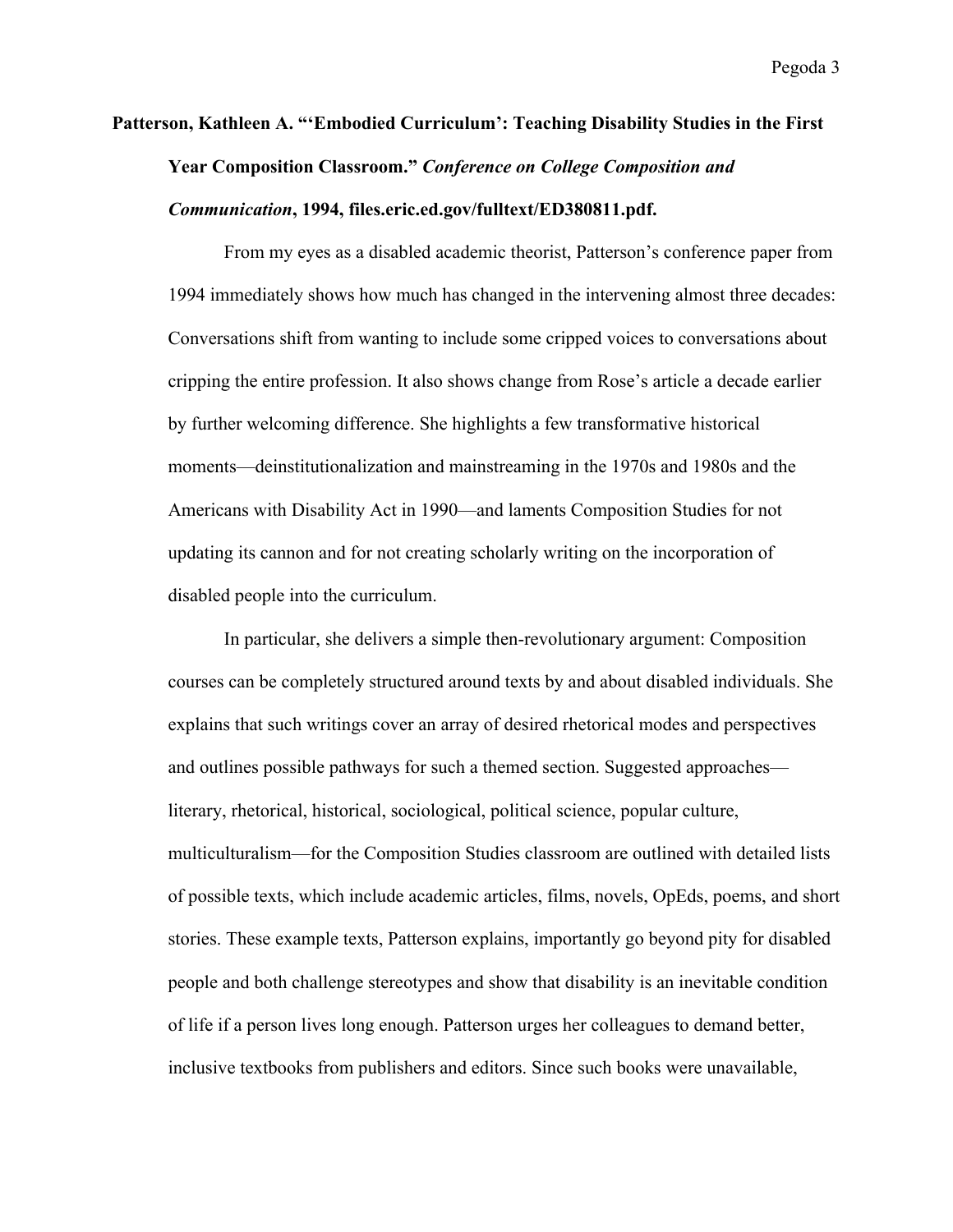## **Patterson, Kathleen A. "'Embodied Curriculum': Teaching Disability Studies in the First Year Composition Classroom."** *Conference on College Composition and Communication***, 1994, files.eric.ed.gov/fulltext/ED380811.pdf.**

From my eyes as a disabled academic theorist, Patterson's conference paper from 1994 immediately shows how much has changed in the intervening almost three decades: Conversations shift from wanting to include some cripped voices to conversations about cripping the entire profession. It also shows change from Rose's article a decade earlier by further welcoming difference. She highlights a few transformative historical moments—deinstitutionalization and mainstreaming in the 1970s and 1980s and the Americans with Disability Act in 1990—and laments Composition Studies for not updating its cannon and for not creating scholarly writing on the incorporation of disabled people into the curriculum.

In particular, she delivers a simple then-revolutionary argument: Composition courses can be completely structured around texts by and about disabled individuals. She explains that such writings cover an array of desired rhetorical modes and perspectives and outlines possible pathways for such a themed section. Suggested approaches literary, rhetorical, historical, sociological, political science, popular culture, multiculturalism—for the Composition Studies classroom are outlined with detailed lists of possible texts, which include academic articles, films, novels, OpEds, poems, and short stories. These example texts, Patterson explains, importantly go beyond pity for disabled people and both challenge stereotypes and show that disability is an inevitable condition of life if a person lives long enough. Patterson urges her colleagues to demand better, inclusive textbooks from publishers and editors. Since such books were unavailable,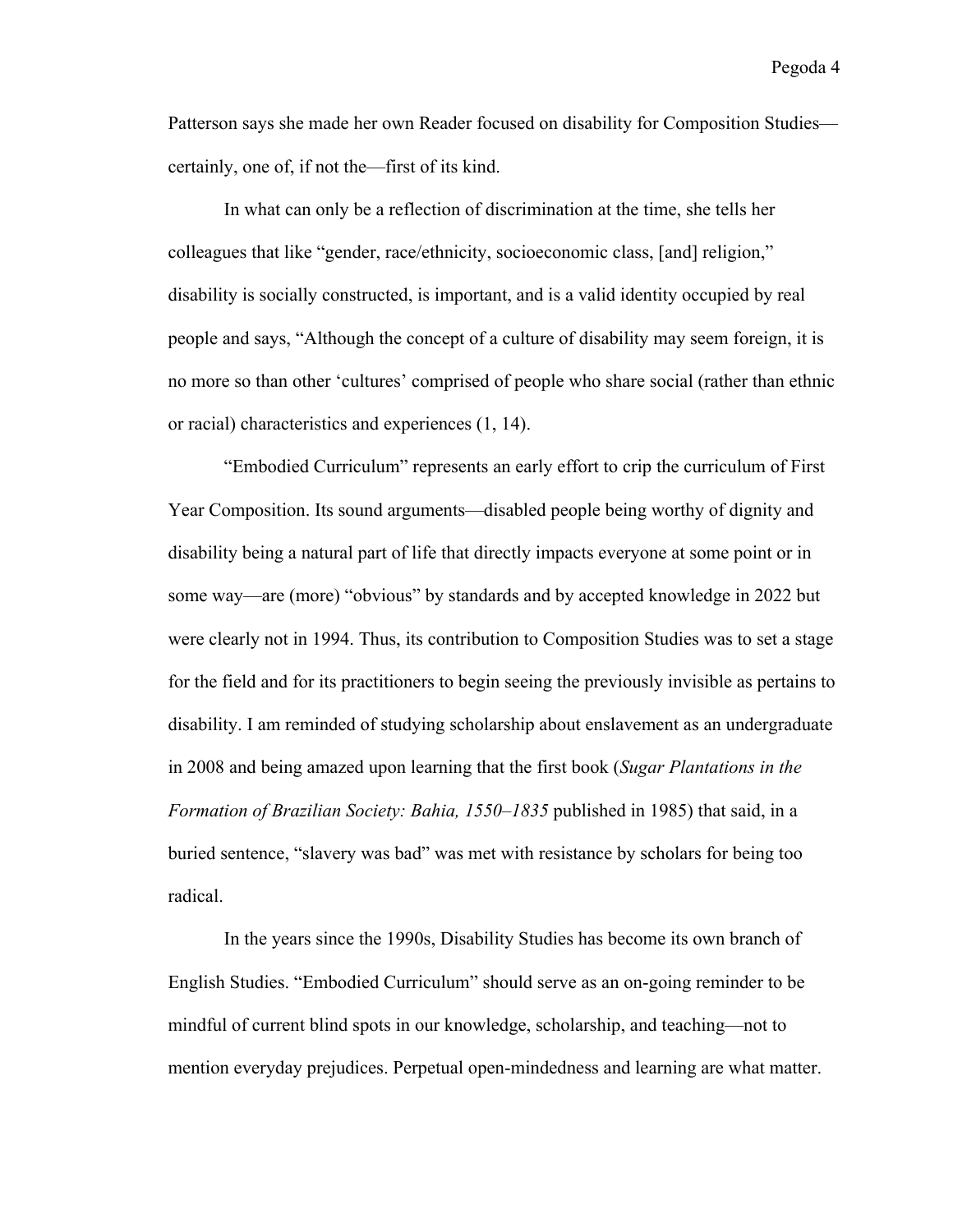Patterson says she made her own Reader focused on disability for Composition Studies certainly, one of, if not the—first of its kind.

In what can only be a reflection of discrimination at the time, she tells her colleagues that like "gender, race/ethnicity, socioeconomic class, [and] religion," disability is socially constructed, is important, and is a valid identity occupied by real people and says, "Although the concept of a culture of disability may seem foreign, it is no more so than other 'cultures' comprised of people who share social (rather than ethnic or racial) characteristics and experiences (1, 14).

"Embodied Curriculum" represents an early effort to crip the curriculum of First Year Composition. Its sound arguments—disabled people being worthy of dignity and disability being a natural part of life that directly impacts everyone at some point or in some way—are (more) "obvious" by standards and by accepted knowledge in 2022 but were clearly not in 1994. Thus, its contribution to Composition Studies was to set a stage for the field and for its practitioners to begin seeing the previously invisible as pertains to disability. I am reminded of studying scholarship about enslavement as an undergraduate in 2008 and being amazed upon learning that the first book (*Sugar Plantations in the Formation of Brazilian Society: Bahia, 1550–1835* published in 1985) that said, in a buried sentence, "slavery was bad" was met with resistance by scholars for being too radical.

In the years since the 1990s, Disability Studies has become its own branch of English Studies. "Embodied Curriculum" should serve as an on-going reminder to be mindful of current blind spots in our knowledge, scholarship, and teaching—not to mention everyday prejudices. Perpetual open-mindedness and learning are what matter.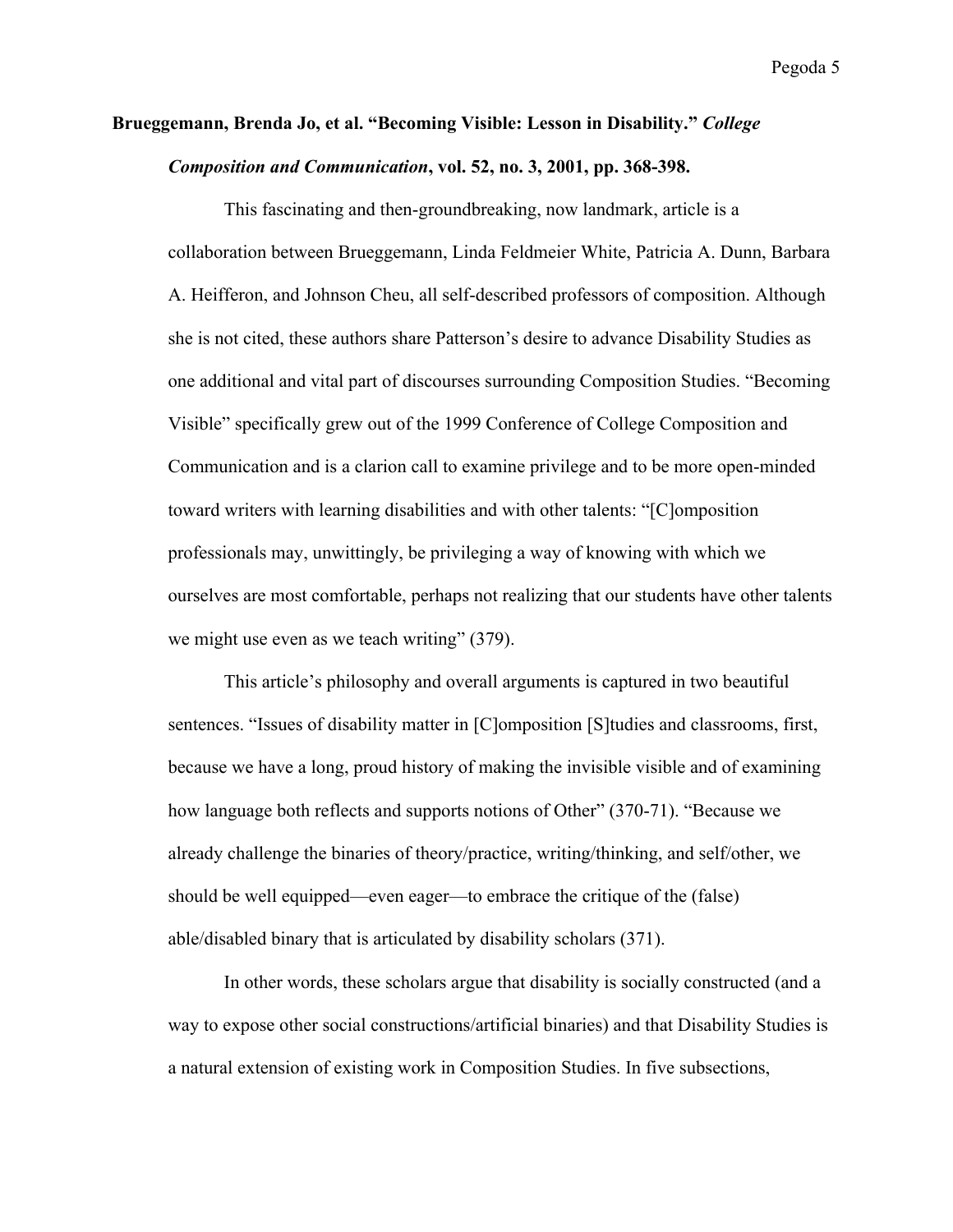### **Brueggemann, Brenda Jo, et al. "Becoming Visible: Lesson in Disability."** *College Composition and Communication***, vol. 52, no. 3, 2001, pp. 368-398.**

This fascinating and then-groundbreaking, now landmark, article is a collaboration between Brueggemann, Linda Feldmeier White, Patricia A. Dunn, Barbara A. Heifferon, and Johnson Cheu, all self-described professors of composition. Although she is not cited, these authors share Patterson's desire to advance Disability Studies as one additional and vital part of discourses surrounding Composition Studies. "Becoming Visible" specifically grew out of the 1999 Conference of College Composition and Communication and is a clarion call to examine privilege and to be more open-minded toward writers with learning disabilities and with other talents: "[C]omposition professionals may, unwittingly, be privileging a way of knowing with which we ourselves are most comfortable, perhaps not realizing that our students have other talents we might use even as we teach writing" (379).

This article's philosophy and overall arguments is captured in two beautiful sentences. "Issues of disability matter in [C]omposition [S]tudies and classrooms, first, because we have a long, proud history of making the invisible visible and of examining how language both reflects and supports notions of Other" (370-71). "Because we already challenge the binaries of theory/practice, writing/thinking, and self/other, we should be well equipped—even eager—to embrace the critique of the (false) able/disabled binary that is articulated by disability scholars (371).

In other words, these scholars argue that disability is socially constructed (and a way to expose other social constructions/artificial binaries) and that Disability Studies is a natural extension of existing work in Composition Studies. In five subsections,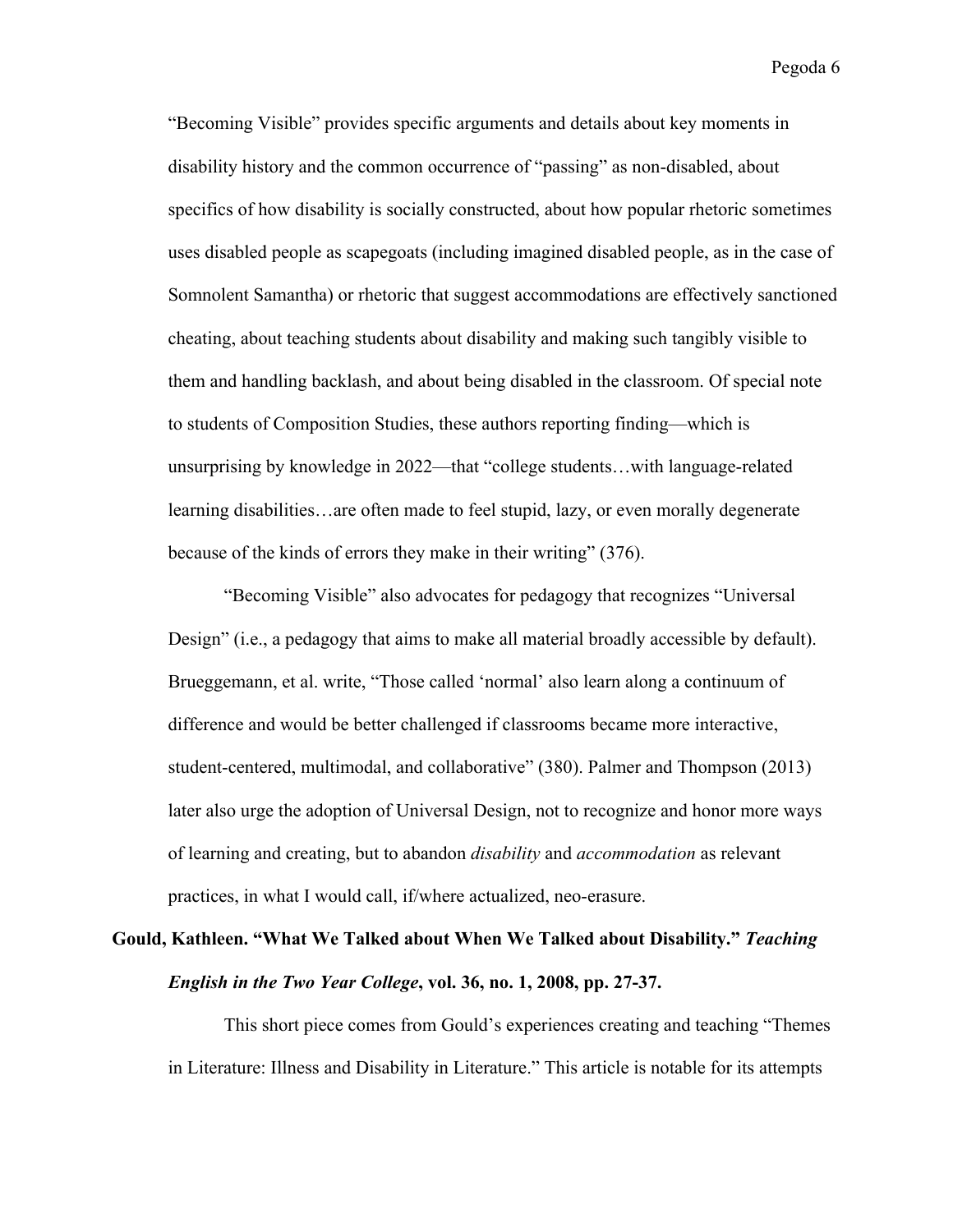"Becoming Visible" provides specific arguments and details about key moments in disability history and the common occurrence of "passing" as non-disabled, about specifics of how disability is socially constructed, about how popular rhetoric sometimes uses disabled people as scapegoats (including imagined disabled people, as in the case of Somnolent Samantha) or rhetoric that suggest accommodations are effectively sanctioned cheating, about teaching students about disability and making such tangibly visible to them and handling backlash, and about being disabled in the classroom. Of special note to students of Composition Studies, these authors reporting finding—which is unsurprising by knowledge in 2022—that "college students…with language-related learning disabilities…are often made to feel stupid, lazy, or even morally degenerate because of the kinds of errors they make in their writing" (376).

"Becoming Visible" also advocates for pedagogy that recognizes "Universal Design" (i.e., a pedagogy that aims to make all material broadly accessible by default). Brueggemann, et al. write, "Those called 'normal' also learn along a continuum of difference and would be better challenged if classrooms became more interactive, student-centered, multimodal, and collaborative" (380). Palmer and Thompson (2013) later also urge the adoption of Universal Design, not to recognize and honor more ways of learning and creating, but to abandon *disability* and *accommodation* as relevant practices, in what I would call, if/where actualized, neo-erasure.

## **Gould, Kathleen. "What We Talked about When We Talked about Disability."** *Teaching English in the Two Year College***, vol. 36, no. 1, 2008, pp. 27-37.**

This short piece comes from Gould's experiences creating and teaching "Themes in Literature: Illness and Disability in Literature." This article is notable for its attempts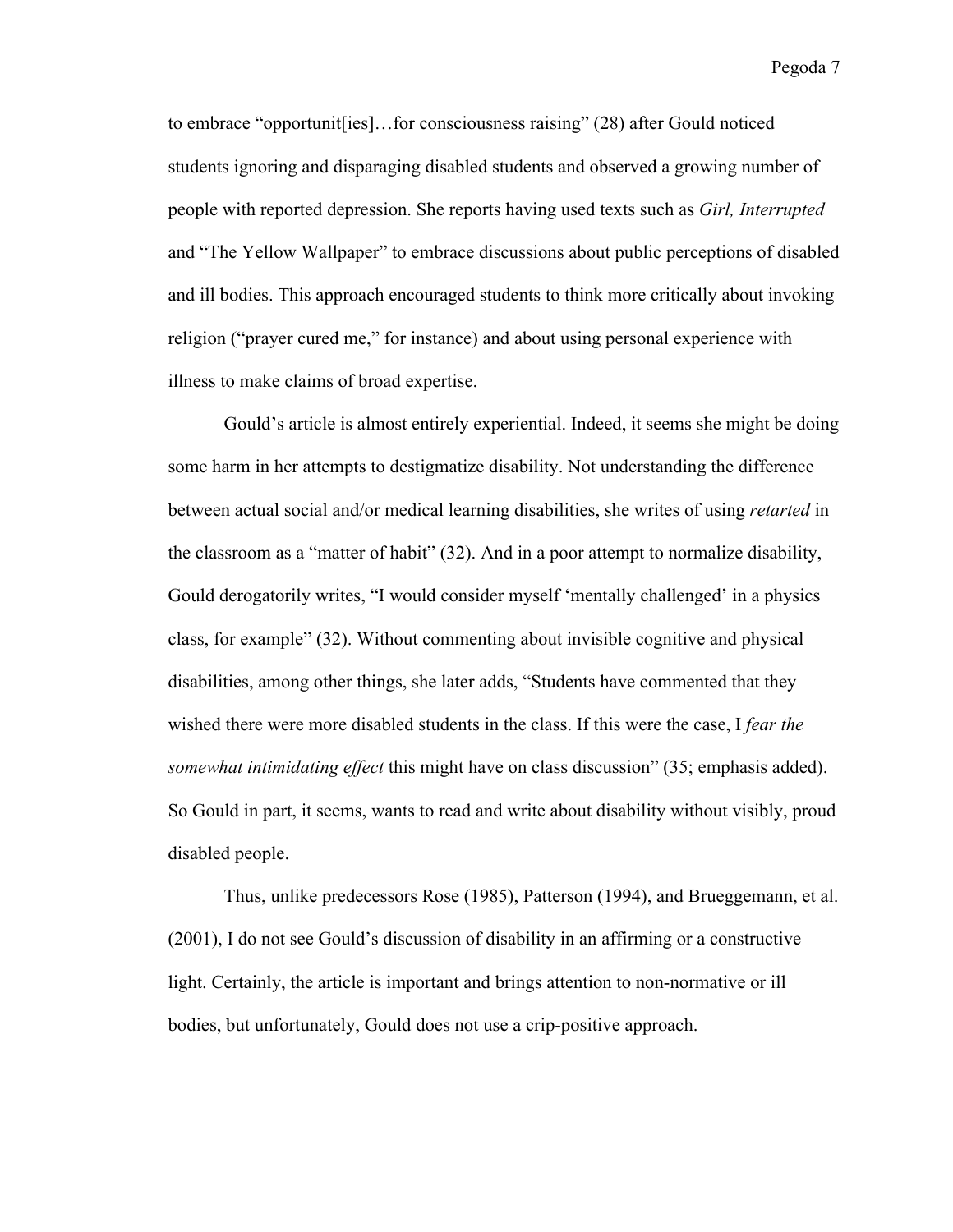to embrace "opportunit[ies]…for consciousness raising" (28) after Gould noticed students ignoring and disparaging disabled students and observed a growing number of people with reported depression. She reports having used texts such as *Girl, Interrupted* and "The Yellow Wallpaper" to embrace discussions about public perceptions of disabled and ill bodies. This approach encouraged students to think more critically about invoking religion ("prayer cured me," for instance) and about using personal experience with illness to make claims of broad expertise.

Gould's article is almost entirely experiential. Indeed, it seems she might be doing some harm in her attempts to destigmatize disability. Not understanding the difference between actual social and/or medical learning disabilities, she writes of using *retarted* in the classroom as a "matter of habit" (32). And in a poor attempt to normalize disability, Gould derogatorily writes, "I would consider myself 'mentally challenged' in a physics class, for example" (32). Without commenting about invisible cognitive and physical disabilities, among other things, she later adds, "Students have commented that they wished there were more disabled students in the class. If this were the case, I *fear the somewhat intimidating effect* this might have on class discussion" (35; emphasis added). So Gould in part, it seems, wants to read and write about disability without visibly, proud disabled people.

Thus, unlike predecessors Rose (1985), Patterson (1994), and Brueggemann, et al. (2001), I do not see Gould's discussion of disability in an affirming or a constructive light. Certainly, the article is important and brings attention to non-normative or ill bodies, but unfortunately, Gould does not use a crip-positive approach.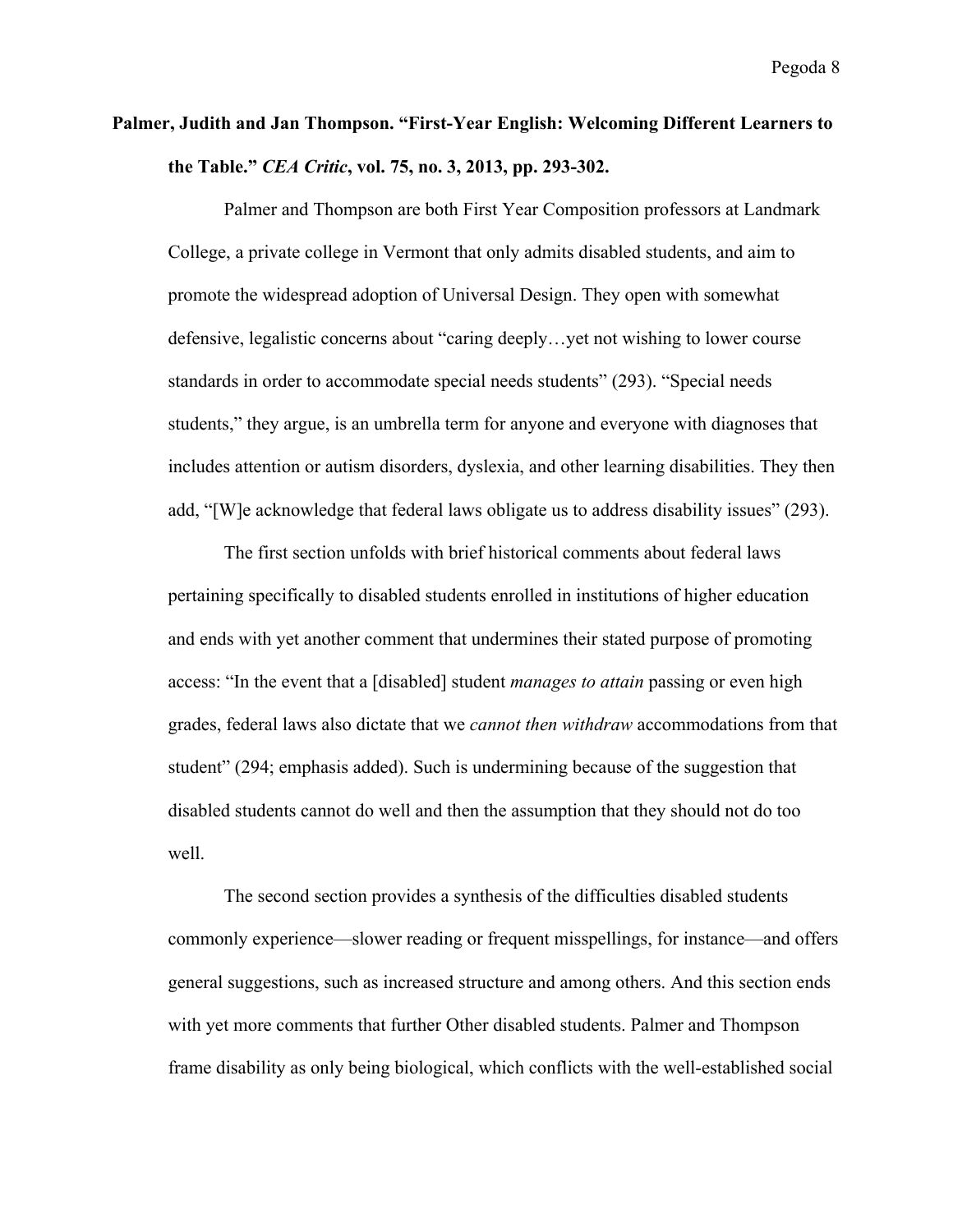#### **Palmer, Judith and Jan Thompson. "First-Year English: Welcoming Different Learners to the Table."** *CEA Critic***, vol. 75, no. 3, 2013, pp. 293-302.**

Palmer and Thompson are both First Year Composition professors at Landmark College, a private college in Vermont that only admits disabled students, and aim to promote the widespread adoption of Universal Design. They open with somewhat defensive, legalistic concerns about "caring deeply…yet not wishing to lower course standards in order to accommodate special needs students" (293). "Special needs students," they argue, is an umbrella term for anyone and everyone with diagnoses that includes attention or autism disorders, dyslexia, and other learning disabilities. They then add, "[W]e acknowledge that federal laws obligate us to address disability issues" (293).

The first section unfolds with brief historical comments about federal laws pertaining specifically to disabled students enrolled in institutions of higher education and ends with yet another comment that undermines their stated purpose of promoting access: "In the event that a [disabled] student *manages to attain* passing or even high grades, federal laws also dictate that we *cannot then withdraw* accommodations from that student" (294; emphasis added). Such is undermining because of the suggestion that disabled students cannot do well and then the assumption that they should not do too well.

The second section provides a synthesis of the difficulties disabled students commonly experience—slower reading or frequent misspellings, for instance—and offers general suggestions, such as increased structure and among others. And this section ends with yet more comments that further Other disabled students. Palmer and Thompson frame disability as only being biological, which conflicts with the well-established social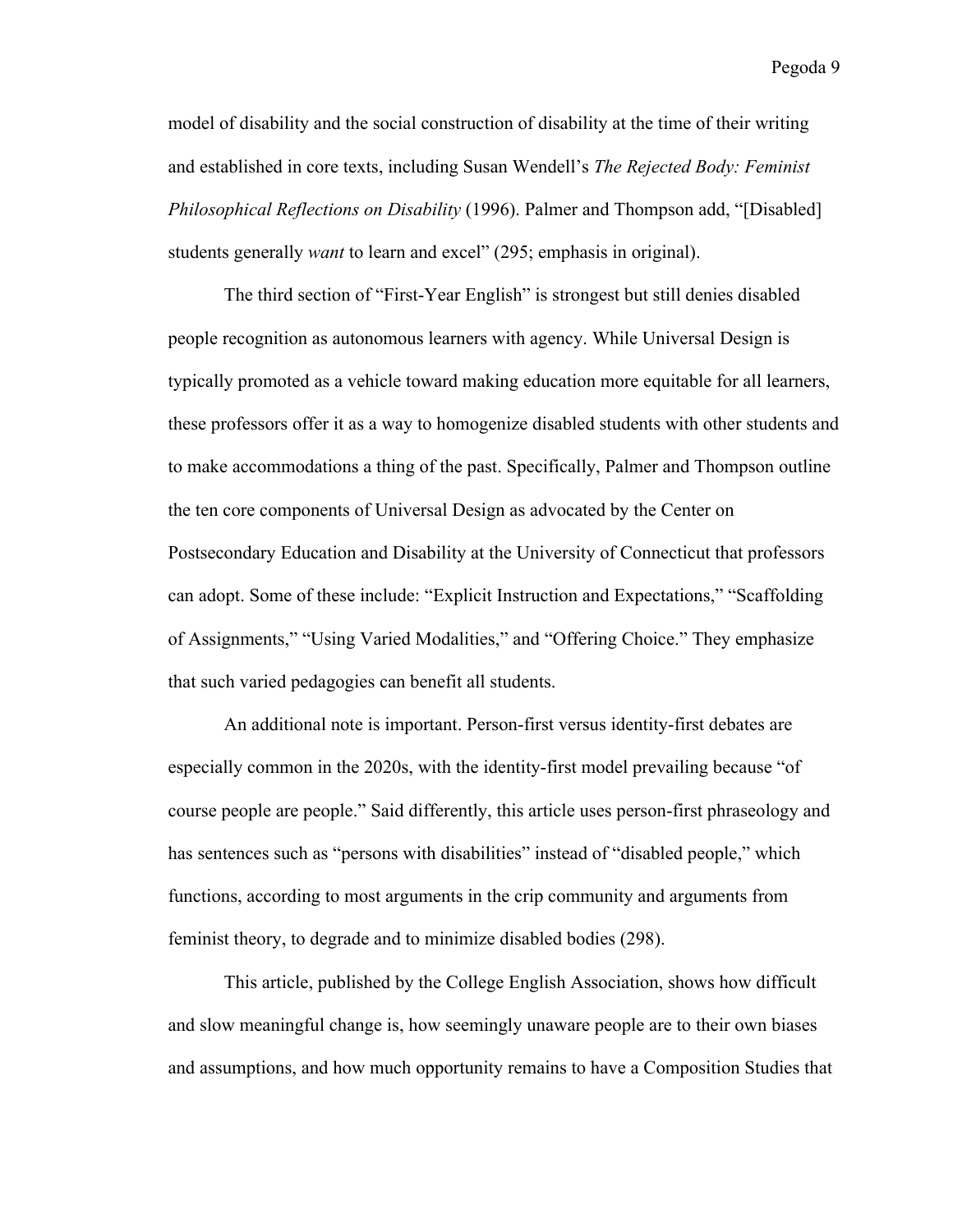model of disability and the social construction of disability at the time of their writing and established in core texts, including Susan Wendell's *The Rejected Body: Feminist Philosophical Reflections on Disability* (1996). Palmer and Thompson add, "[Disabled] students generally *want* to learn and excel" (295; emphasis in original).

The third section of "First-Year English" is strongest but still denies disabled people recognition as autonomous learners with agency. While Universal Design is typically promoted as a vehicle toward making education more equitable for all learners, these professors offer it as a way to homogenize disabled students with other students and to make accommodations a thing of the past. Specifically, Palmer and Thompson outline the ten core components of Universal Design as advocated by the Center on Postsecondary Education and Disability at the University of Connecticut that professors can adopt. Some of these include: "Explicit Instruction and Expectations," "Scaffolding of Assignments," "Using Varied Modalities," and "Offering Choice." They emphasize that such varied pedagogies can benefit all students.

An additional note is important. Person-first versus identity-first debates are especially common in the 2020s, with the identity-first model prevailing because "of course people are people." Said differently, this article uses person-first phraseology and has sentences such as "persons with disabilities" instead of "disabled people," which functions, according to most arguments in the crip community and arguments from feminist theory, to degrade and to minimize disabled bodies (298).

This article, published by the College English Association, shows how difficult and slow meaningful change is, how seemingly unaware people are to their own biases and assumptions, and how much opportunity remains to have a Composition Studies that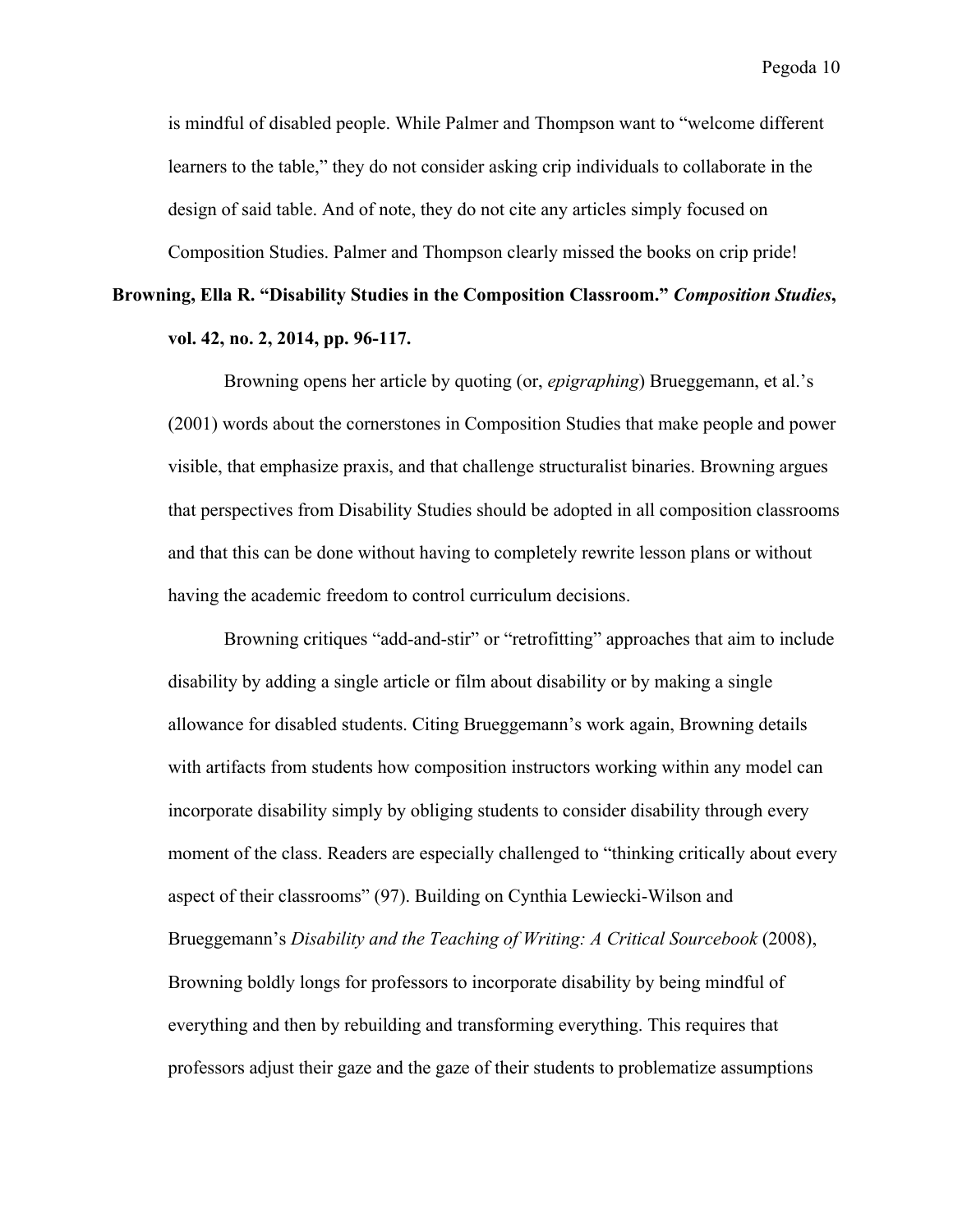is mindful of disabled people. While Palmer and Thompson want to "welcome different learners to the table," they do not consider asking crip individuals to collaborate in the design of said table. And of note, they do not cite any articles simply focused on Composition Studies. Palmer and Thompson clearly missed the books on crip pride!

## **Browning, Ella R. "Disability Studies in the Composition Classroom."** *Composition Studies***, vol. 42, no. 2, 2014, pp. 96-117.**

Browning opens her article by quoting (or, *epigraphing*) Brueggemann, et al.'s (2001) words about the cornerstones in Composition Studies that make people and power visible, that emphasize praxis, and that challenge structuralist binaries. Browning argues that perspectives from Disability Studies should be adopted in all composition classrooms and that this can be done without having to completely rewrite lesson plans or without having the academic freedom to control curriculum decisions.

Browning critiques "add-and-stir" or "retrofitting" approaches that aim to include disability by adding a single article or film about disability or by making a single allowance for disabled students. Citing Brueggemann's work again, Browning details with artifacts from students how composition instructors working within any model can incorporate disability simply by obliging students to consider disability through every moment of the class. Readers are especially challenged to "thinking critically about every aspect of their classrooms" (97). Building on Cynthia Lewiecki-Wilson and Brueggemann's *Disability and the Teaching of Writing: A Critical Sourcebook* (2008), Browning boldly longs for professors to incorporate disability by being mindful of everything and then by rebuilding and transforming everything. This requires that professors adjust their gaze and the gaze of their students to problematize assumptions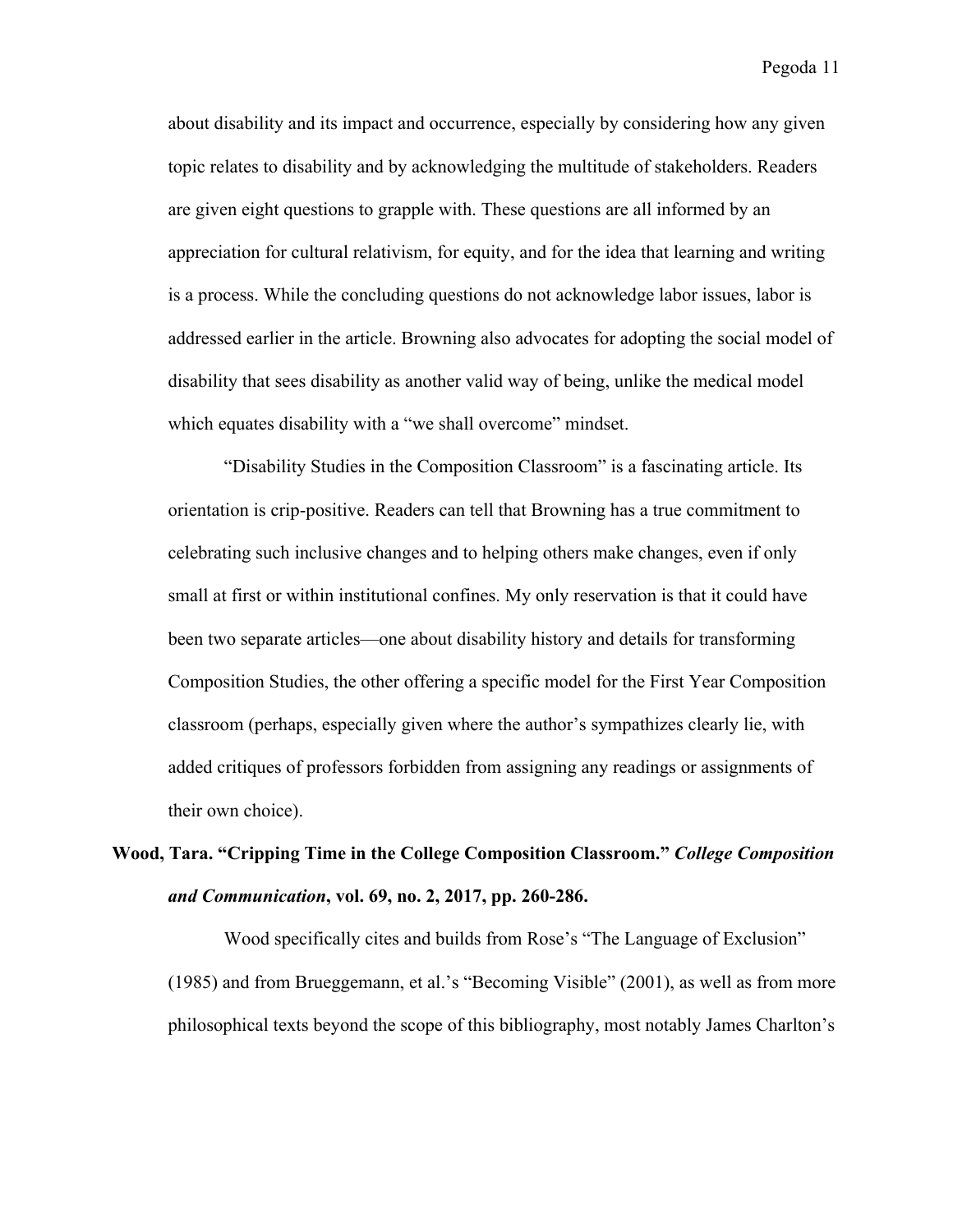about disability and its impact and occurrence, especially by considering how any given topic relates to disability and by acknowledging the multitude of stakeholders. Readers are given eight questions to grapple with. These questions are all informed by an appreciation for cultural relativism, for equity, and for the idea that learning and writing is a process. While the concluding questions do not acknowledge labor issues, labor is addressed earlier in the article. Browning also advocates for adopting the social model of disability that sees disability as another valid way of being, unlike the medical model which equates disability with a "we shall overcome" mindset.

"Disability Studies in the Composition Classroom" is a fascinating article. Its orientation is crip-positive. Readers can tell that Browning has a true commitment to celebrating such inclusive changes and to helping others make changes, even if only small at first or within institutional confines. My only reservation is that it could have been two separate articles—one about disability history and details for transforming Composition Studies, the other offering a specific model for the First Year Composition classroom (perhaps, especially given where the author's sympathizes clearly lie, with added critiques of professors forbidden from assigning any readings or assignments of their own choice).

## **Wood, Tara. "Cripping Time in the College Composition Classroom."** *College Composition and Communication***, vol. 69, no. 2, 2017, pp. 260-286.**

Wood specifically cites and builds from Rose's "The Language of Exclusion" (1985) and from Brueggemann, et al.'s "Becoming Visible" (2001), as well as from more philosophical texts beyond the scope of this bibliography, most notably James Charlton's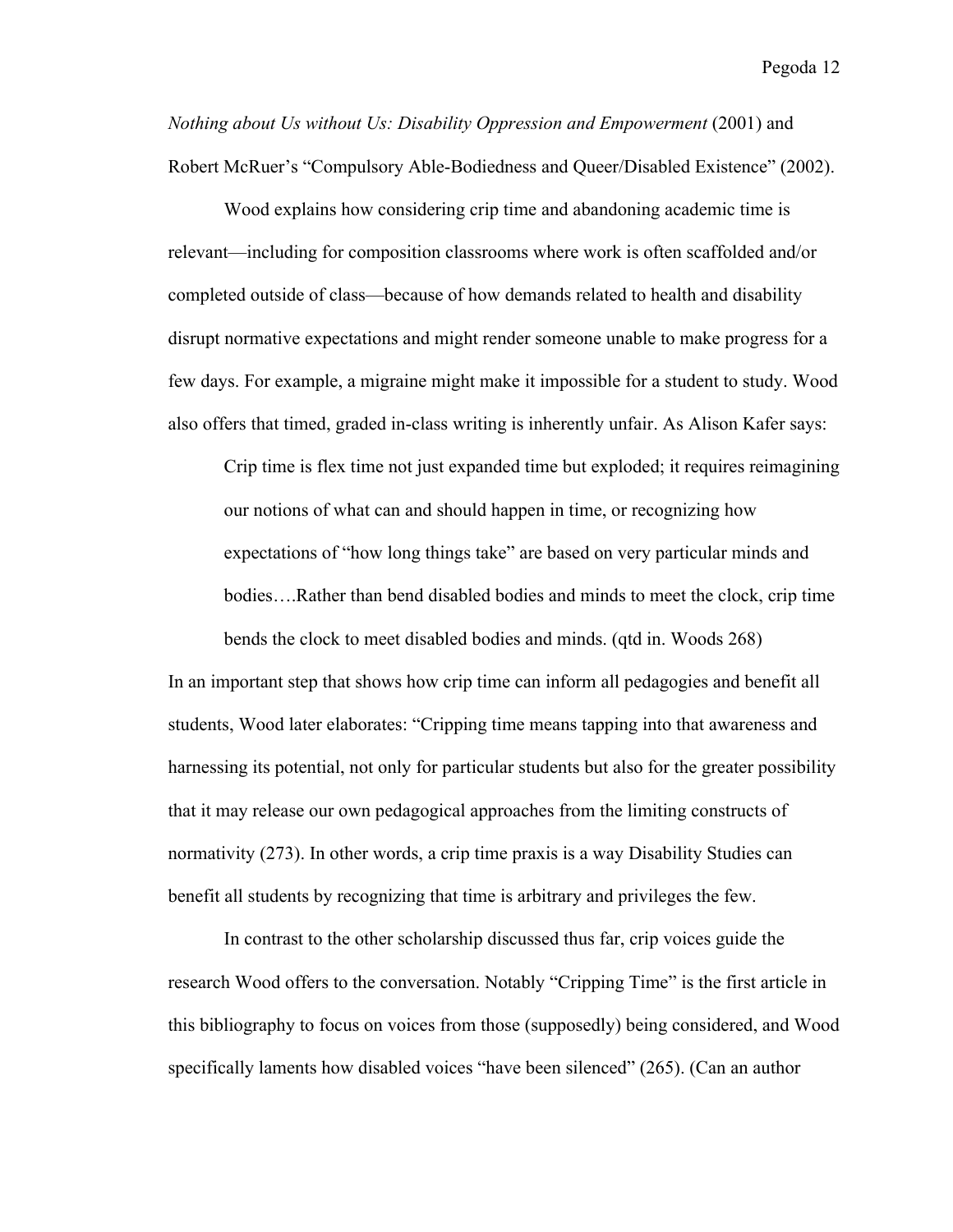*Nothing about Us without Us: Disability Oppression and Empowerment* (2001) and Robert McRuer's "Compulsory Able-Bodiedness and Queer/Disabled Existence" (2002).

Wood explains how considering crip time and abandoning academic time is relevant—including for composition classrooms where work is often scaffolded and/or completed outside of class—because of how demands related to health and disability disrupt normative expectations and might render someone unable to make progress for a few days. For example, a migraine might make it impossible for a student to study. Wood also offers that timed, graded in-class writing is inherently unfair. As Alison Kafer says:

Crip time is flex time not just expanded time but exploded; it requires reimagining our notions of what can and should happen in time, or recognizing how expectations of "how long things take" are based on very particular minds and bodies….Rather than bend disabled bodies and minds to meet the clock, crip time

bends the clock to meet disabled bodies and minds. (qtd in. Woods 268) In an important step that shows how crip time can inform all pedagogies and benefit all students, Wood later elaborates: "Cripping time means tapping into that awareness and harnessing its potential, not only for particular students but also for the greater possibility that it may release our own pedagogical approaches from the limiting constructs of normativity (273). In other words, a crip time praxis is a way Disability Studies can benefit all students by recognizing that time is arbitrary and privileges the few.

In contrast to the other scholarship discussed thus far, crip voices guide the research Wood offers to the conversation. Notably "Cripping Time" is the first article in this bibliography to focus on voices from those (supposedly) being considered, and Wood specifically laments how disabled voices "have been silenced" (265). (Can an author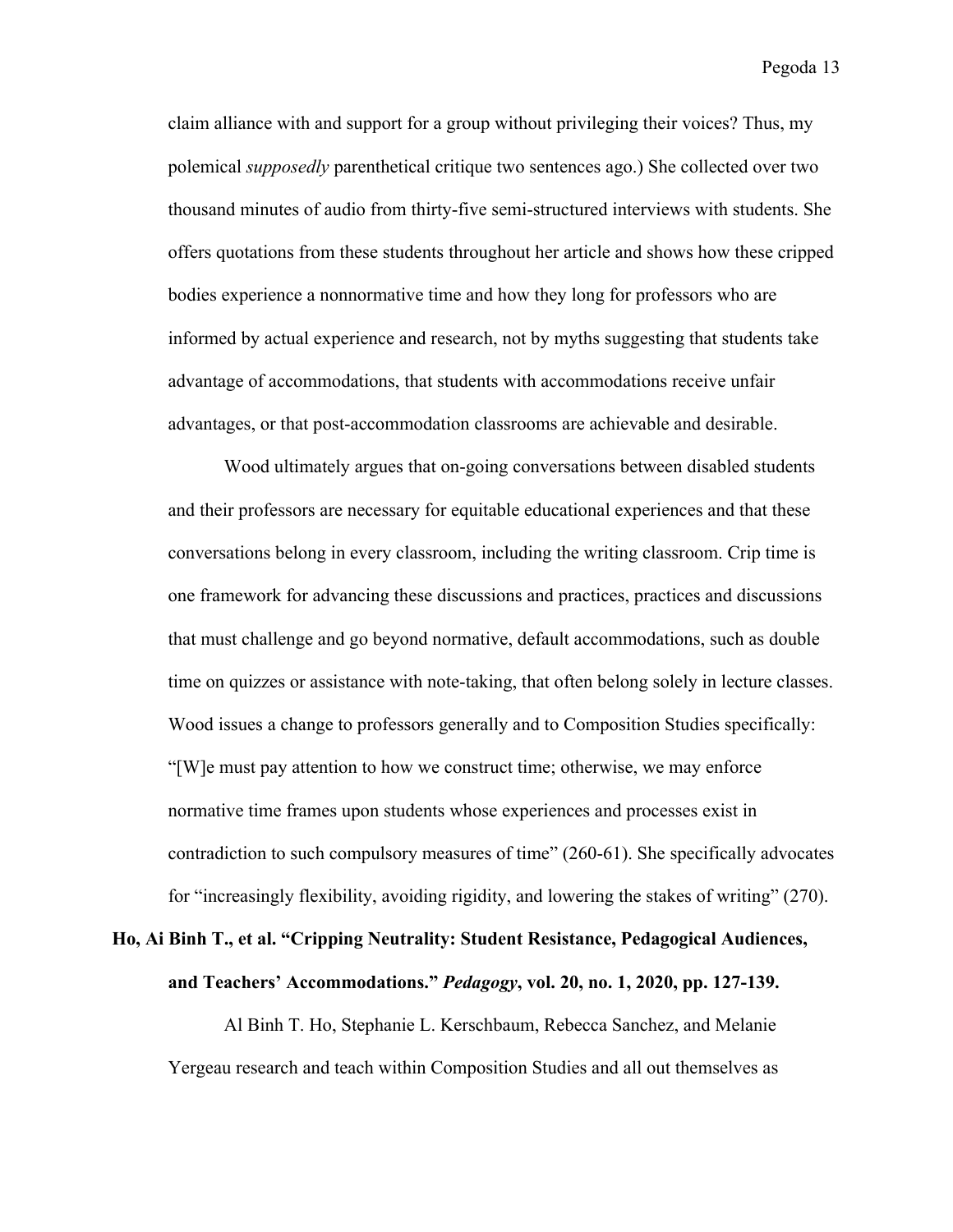claim alliance with and support for a group without privileging their voices? Thus, my polemical *supposedly* parenthetical critique two sentences ago.) She collected over two thousand minutes of audio from thirty-five semi-structured interviews with students. She offers quotations from these students throughout her article and shows how these cripped bodies experience a nonnormative time and how they long for professors who are informed by actual experience and research, not by myths suggesting that students take advantage of accommodations, that students with accommodations receive unfair advantages, or that post-accommodation classrooms are achievable and desirable.

Wood ultimately argues that on-going conversations between disabled students and their professors are necessary for equitable educational experiences and that these conversations belong in every classroom, including the writing classroom. Crip time is one framework for advancing these discussions and practices, practices and discussions that must challenge and go beyond normative, default accommodations, such as double time on quizzes or assistance with note-taking, that often belong solely in lecture classes. Wood issues a change to professors generally and to Composition Studies specifically: "[W]e must pay attention to how we construct time; otherwise, we may enforce normative time frames upon students whose experiences and processes exist in contradiction to such compulsory measures of time" (260-61). She specifically advocates for "increasingly flexibility, avoiding rigidity, and lowering the stakes of writing" (270).

#### **Ho, Ai Binh T., et al. "Cripping Neutrality: Student Resistance, Pedagogical Audiences, and Teachers' Accommodations."** *Pedagogy***, vol. 20, no. 1, 2020, pp. 127-139.**

Al Binh T. Ho, Stephanie L. Kerschbaum, Rebecca Sanchez, and Melanie Yergeau research and teach within Composition Studies and all out themselves as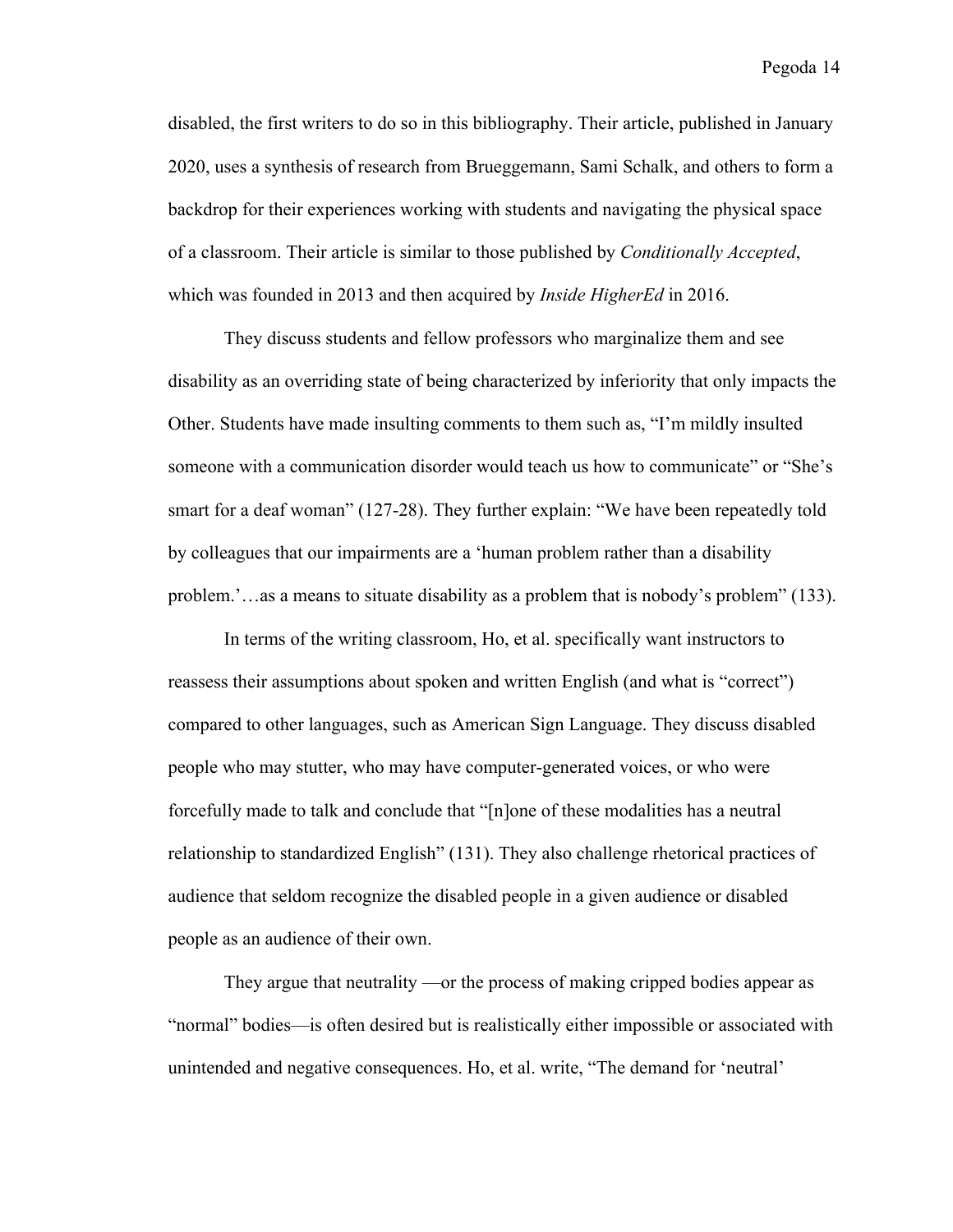disabled, the first writers to do so in this bibliography. Their article, published in January 2020, uses a synthesis of research from Brueggemann, Sami Schalk, and others to form a backdrop for their experiences working with students and navigating the physical space of a classroom. Their article is similar to those published by *Conditionally Accepted*, which was founded in 2013 and then acquired by *Inside HigherEd* in 2016.

They discuss students and fellow professors who marginalize them and see disability as an overriding state of being characterized by inferiority that only impacts the Other. Students have made insulting comments to them such as, "I'm mildly insulted someone with a communication disorder would teach us how to communicate" or "She's smart for a deaf woman" (127-28). They further explain: "We have been repeatedly told by colleagues that our impairments are a 'human problem rather than a disability problem.'…as a means to situate disability as a problem that is nobody's problem" (133).

In terms of the writing classroom, Ho, et al. specifically want instructors to reassess their assumptions about spoken and written English (and what is "correct") compared to other languages, such as American Sign Language. They discuss disabled people who may stutter, who may have computer-generated voices, or who were forcefully made to talk and conclude that "[n]one of these modalities has a neutral relationship to standardized English" (131). They also challenge rhetorical practices of audience that seldom recognize the disabled people in a given audience or disabled people as an audience of their own.

They argue that neutrality —or the process of making cripped bodies appear as "normal" bodies—is often desired but is realistically either impossible or associated with unintended and negative consequences. Ho, et al. write, "The demand for 'neutral'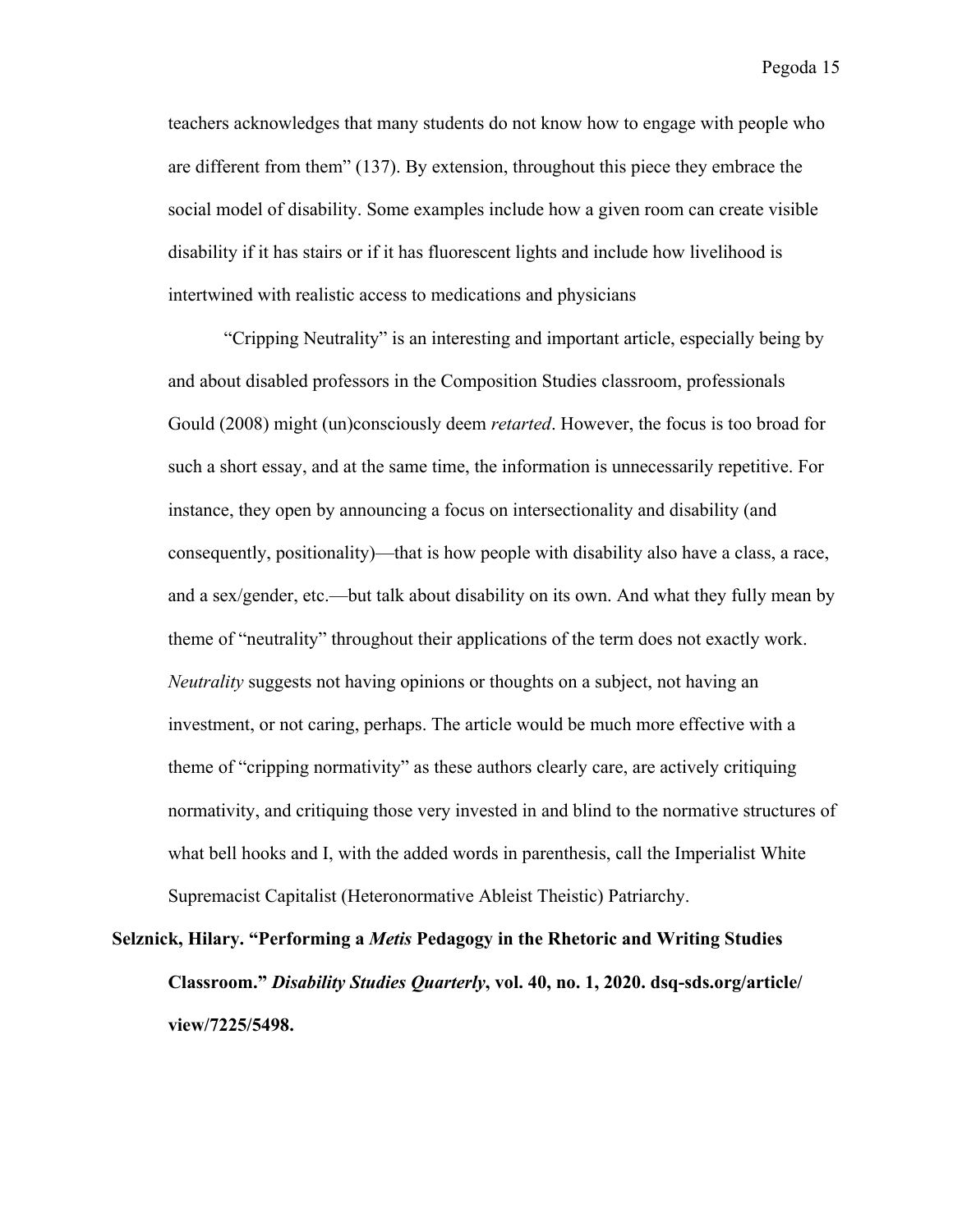teachers acknowledges that many students do not know how to engage with people who are different from them" (137). By extension, throughout this piece they embrace the social model of disability. Some examples include how a given room can create visible disability if it has stairs or if it has fluorescent lights and include how livelihood is intertwined with realistic access to medications and physicians

"Cripping Neutrality" is an interesting and important article, especially being by and about disabled professors in the Composition Studies classroom, professionals Gould (2008) might (un)consciously deem *retarted*. However, the focus is too broad for such a short essay, and at the same time, the information is unnecessarily repetitive. For instance, they open by announcing a focus on intersectionality and disability (and consequently, positionality)—that is how people with disability also have a class, a race, and a sex/gender, etc.—but talk about disability on its own. And what they fully mean by theme of "neutrality" throughout their applications of the term does not exactly work. *Neutrality* suggests not having opinions or thoughts on a subject, not having an investment, or not caring, perhaps. The article would be much more effective with a theme of "cripping normativity" as these authors clearly care, are actively critiquing normativity, and critiquing those very invested in and blind to the normative structures of what bell hooks and I, with the added words in parenthesis, call the Imperialist White Supremacist Capitalist (Heteronormative Ableist Theistic) Patriarchy.

**Selznick, Hilary. "Performing a** *Metis* **Pedagogy in the Rhetoric and Writing Studies Classroom."** *Disability Studies Quarterly***, vol. 40, no. 1, 2020. dsq-sds.org/article/ view/7225/5498.**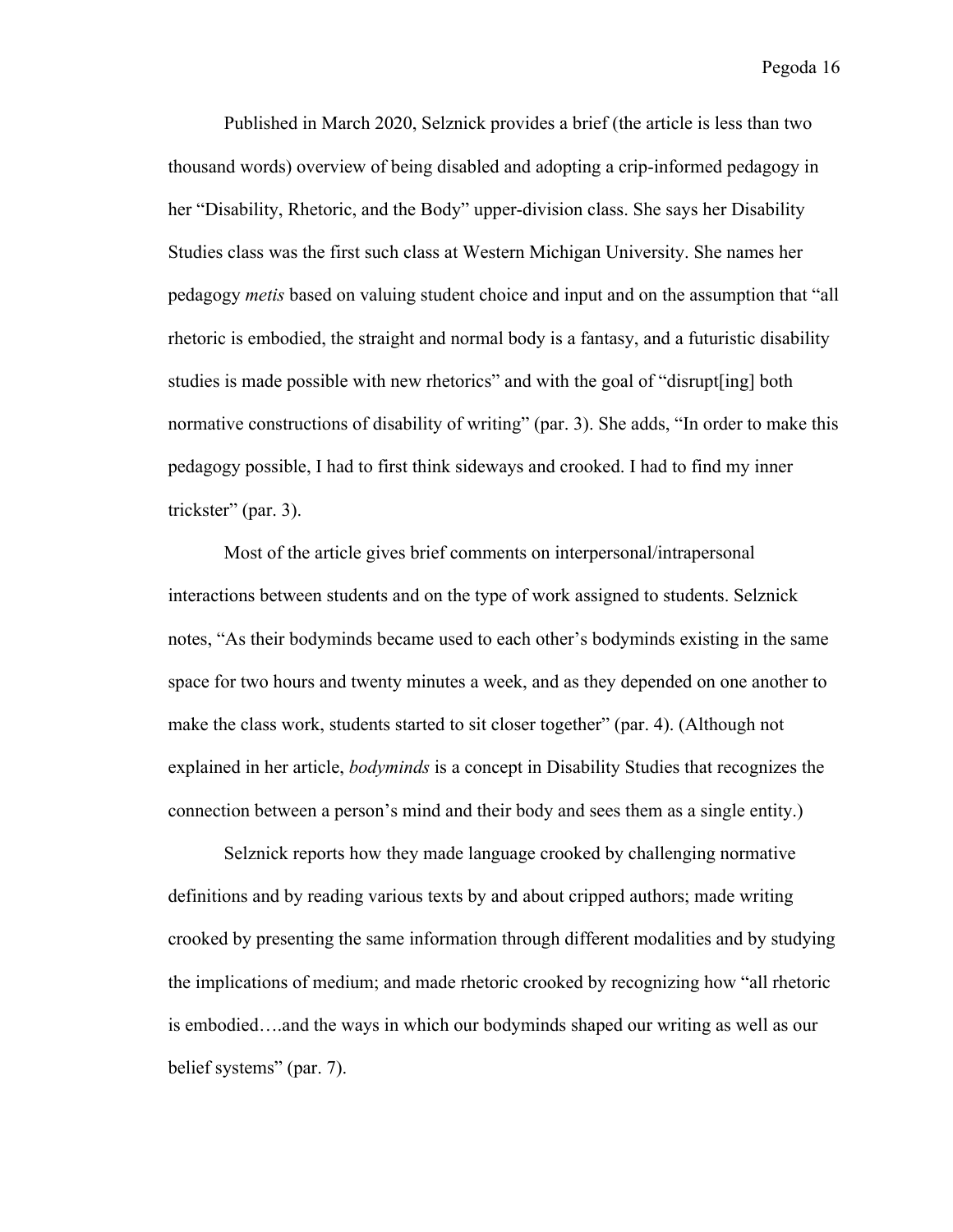Published in March 2020, Selznick provides a brief (the article is less than two thousand words) overview of being disabled and adopting a crip-informed pedagogy in her "Disability, Rhetoric, and the Body" upper-division class. She says her Disability Studies class was the first such class at Western Michigan University. She names her pedagogy *metis* based on valuing student choice and input and on the assumption that "all rhetoric is embodied, the straight and normal body is a fantasy, and a futuristic disability studies is made possible with new rhetorics" and with the goal of "disrupt[ing] both normative constructions of disability of writing" (par. 3). She adds, "In order to make this pedagogy possible, I had to first think sideways and crooked. I had to find my inner trickster" (par. 3).

Most of the article gives brief comments on interpersonal/intrapersonal interactions between students and on the type of work assigned to students. Selznick notes, "As their bodyminds became used to each other's bodyminds existing in the same space for two hours and twenty minutes a week, and as they depended on one another to make the class work, students started to sit closer together" (par. 4). (Although not explained in her article, *bodyminds* is a concept in Disability Studies that recognizes the connection between a person's mind and their body and sees them as a single entity.)

Selznick reports how they made language crooked by challenging normative definitions and by reading various texts by and about cripped authors; made writing crooked by presenting the same information through different modalities and by studying the implications of medium; and made rhetoric crooked by recognizing how "all rhetoric is embodied….and the ways in which our bodyminds shaped our writing as well as our belief systems" (par. 7).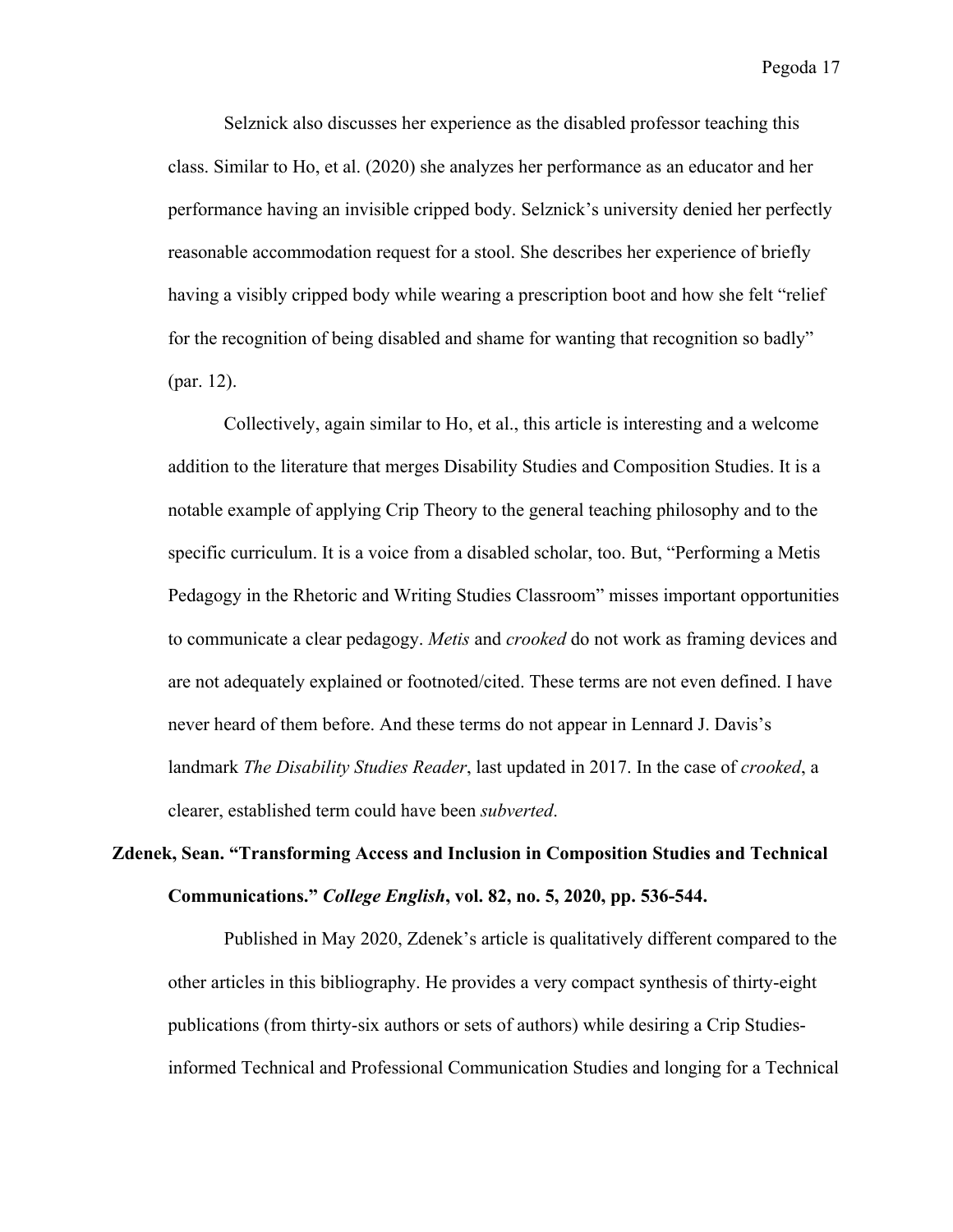Selznick also discusses her experience as the disabled professor teaching this class. Similar to Ho, et al. (2020) she analyzes her performance as an educator and her performance having an invisible cripped body. Selznick's university denied her perfectly reasonable accommodation request for a stool. She describes her experience of briefly having a visibly cripped body while wearing a prescription boot and how she felt "relief for the recognition of being disabled and shame for wanting that recognition so badly" (par. 12).

Collectively, again similar to Ho, et al., this article is interesting and a welcome addition to the literature that merges Disability Studies and Composition Studies. It is a notable example of applying Crip Theory to the general teaching philosophy and to the specific curriculum. It is a voice from a disabled scholar, too. But, "Performing a Metis Pedagogy in the Rhetoric and Writing Studies Classroom" misses important opportunities to communicate a clear pedagogy. *Metis* and *crooked* do not work as framing devices and are not adequately explained or footnoted/cited. These terms are not even defined. I have never heard of them before. And these terms do not appear in Lennard J. Davis's landmark *The Disability Studies Reader*, last updated in 2017. In the case of *crooked*, a clearer, established term could have been *subverted*.

#### **Zdenek, Sean. "Transforming Access and Inclusion in Composition Studies and Technical Communications."** *College English***, vol. 82, no. 5, 2020, pp. 536-544.**

Published in May 2020, Zdenek's article is qualitatively different compared to the other articles in this bibliography. He provides a very compact synthesis of thirty-eight publications (from thirty-six authors or sets of authors) while desiring a Crip Studiesinformed Technical and Professional Communication Studies and longing for a Technical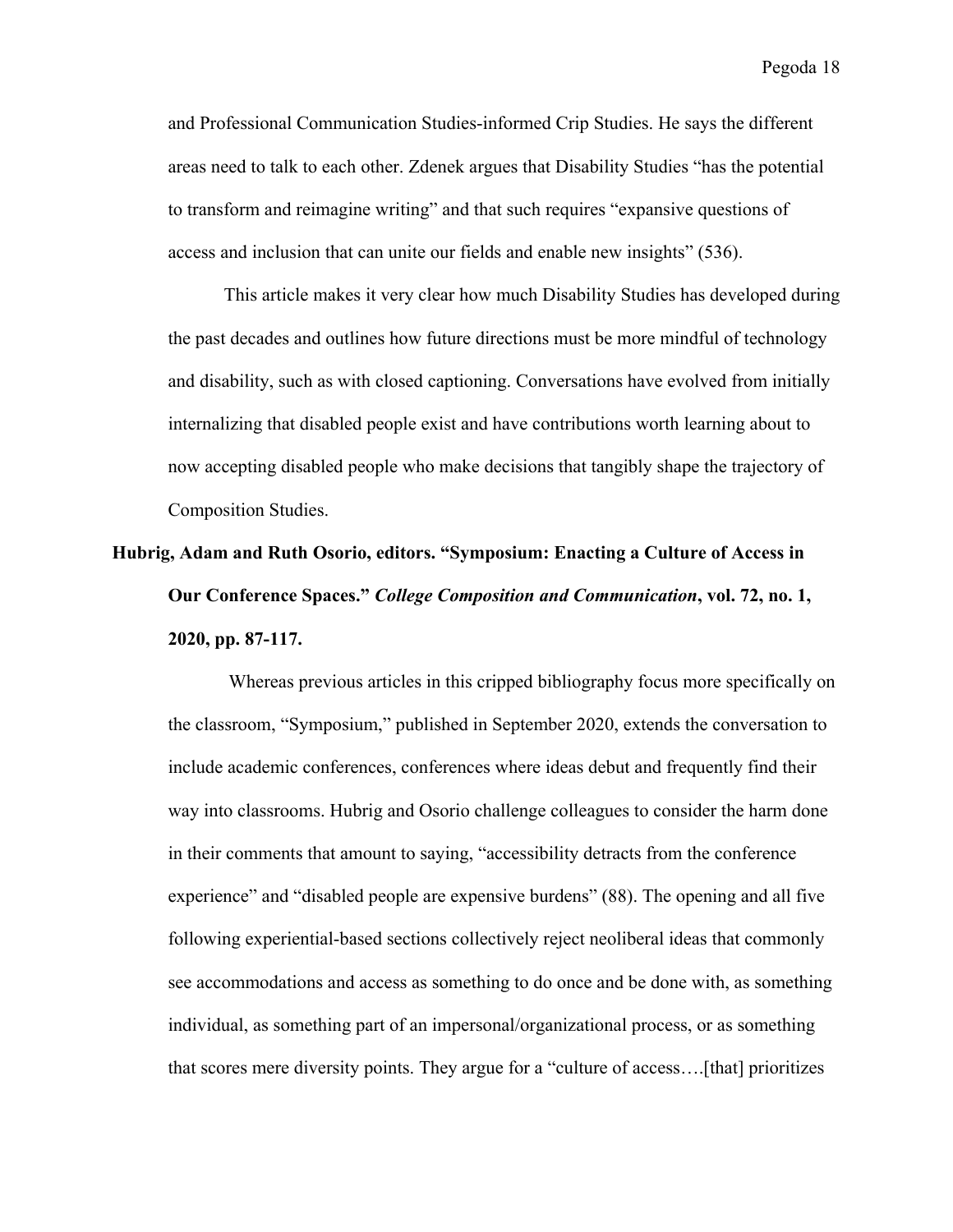and Professional Communication Studies-informed Crip Studies. He says the different areas need to talk to each other. Zdenek argues that Disability Studies "has the potential to transform and reimagine writing" and that such requires "expansive questions of access and inclusion that can unite our fields and enable new insights" (536).

This article makes it very clear how much Disability Studies has developed during the past decades and outlines how future directions must be more mindful of technology and disability, such as with closed captioning. Conversations have evolved from initially internalizing that disabled people exist and have contributions worth learning about to now accepting disabled people who make decisions that tangibly shape the trajectory of Composition Studies.

# **Hubrig, Adam and Ruth Osorio, editors. "Symposium: Enacting a Culture of Access in Our Conference Spaces."** *College Composition and Communication***, vol. 72, no. 1, 2020, pp. 87-117.**

Whereas previous articles in this cripped bibliography focus more specifically on the classroom, "Symposium," published in September 2020, extends the conversation to include academic conferences, conferences where ideas debut and frequently find their way into classrooms. Hubrig and Osorio challenge colleagues to consider the harm done in their comments that amount to saying, "accessibility detracts from the conference experience" and "disabled people are expensive burdens" (88). The opening and all five following experiential-based sections collectively reject neoliberal ideas that commonly see accommodations and access as something to do once and be done with, as something individual, as something part of an impersonal/organizational process, or as something that scores mere diversity points. They argue for a "culture of access….[that] prioritizes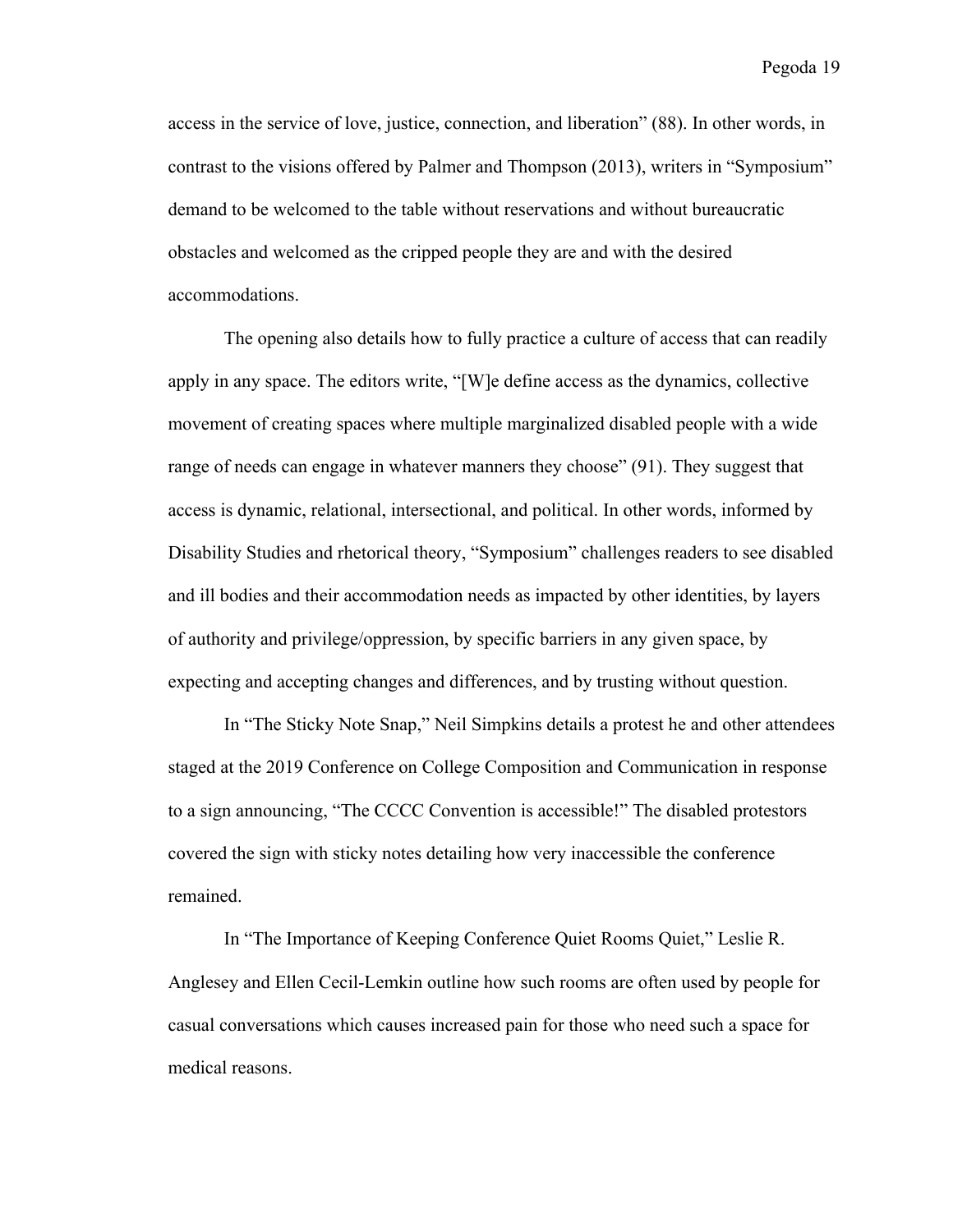access in the service of love, justice, connection, and liberation" (88). In other words, in contrast to the visions offered by Palmer and Thompson (2013), writers in "Symposium" demand to be welcomed to the table without reservations and without bureaucratic obstacles and welcomed as the cripped people they are and with the desired accommodations.

The opening also details how to fully practice a culture of access that can readily apply in any space. The editors write, "[W]e define access as the dynamics, collective movement of creating spaces where multiple marginalized disabled people with a wide range of needs can engage in whatever manners they choose" (91). They suggest that access is dynamic, relational, intersectional, and political. In other words, informed by Disability Studies and rhetorical theory, "Symposium" challenges readers to see disabled and ill bodies and their accommodation needs as impacted by other identities, by layers of authority and privilege/oppression, by specific barriers in any given space, by expecting and accepting changes and differences, and by trusting without question.

In "The Sticky Note Snap," Neil Simpkins details a protest he and other attendees staged at the 2019 Conference on College Composition and Communication in response to a sign announcing, "The CCCC Convention is accessible!" The disabled protestors covered the sign with sticky notes detailing how very inaccessible the conference remained.

In "The Importance of Keeping Conference Quiet Rooms Quiet," Leslie R. Anglesey and Ellen Cecil-Lemkin outline how such rooms are often used by people for casual conversations which causes increased pain for those who need such a space for medical reasons.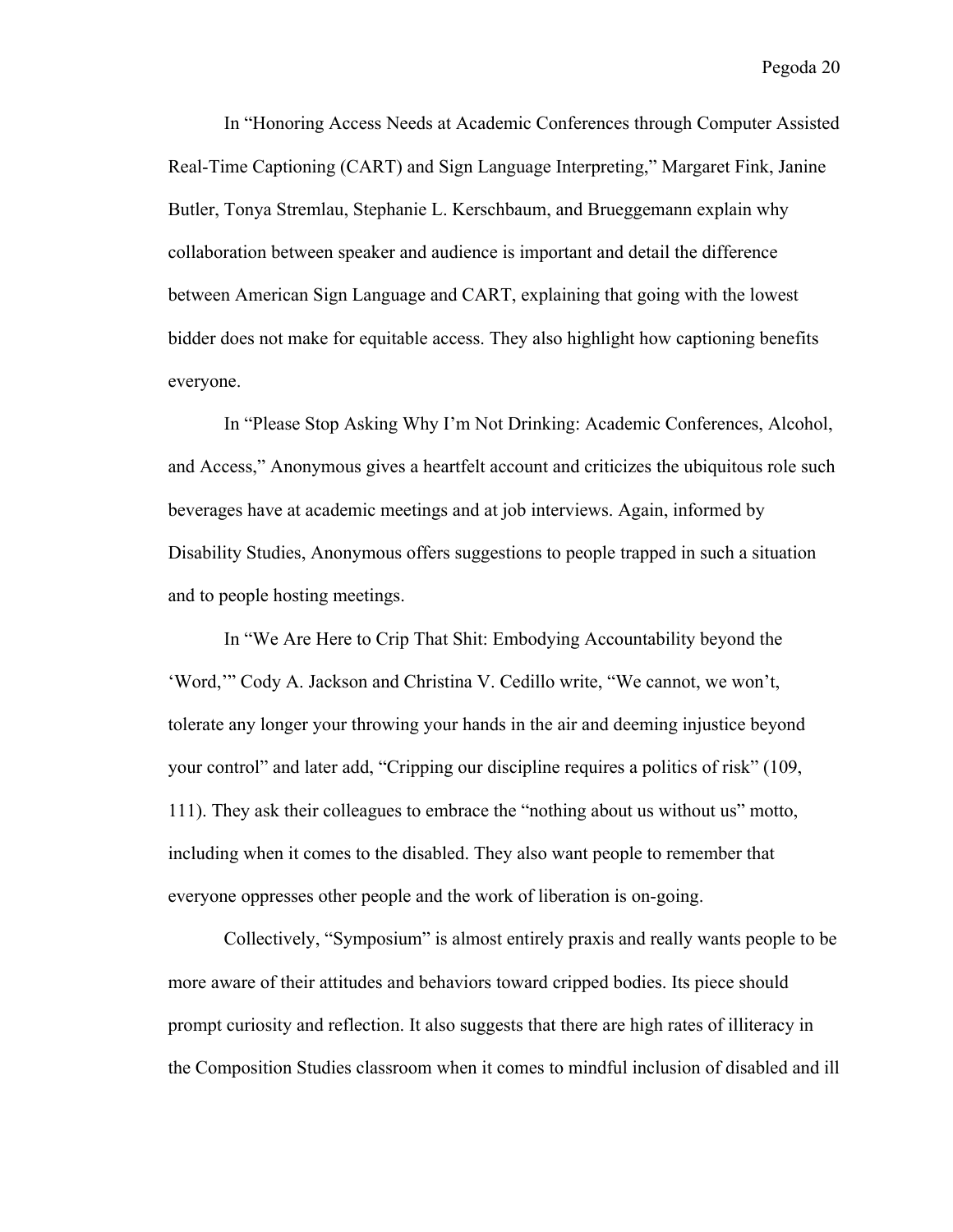In "Honoring Access Needs at Academic Conferences through Computer Assisted Real-Time Captioning (CART) and Sign Language Interpreting," Margaret Fink, Janine Butler, Tonya Stremlau, Stephanie L. Kerschbaum, and Brueggemann explain why collaboration between speaker and audience is important and detail the difference between American Sign Language and CART, explaining that going with the lowest bidder does not make for equitable access. They also highlight how captioning benefits everyone.

In "Please Stop Asking Why I'm Not Drinking: Academic Conferences, Alcohol, and Access," Anonymous gives a heartfelt account and criticizes the ubiquitous role such beverages have at academic meetings and at job interviews. Again, informed by Disability Studies, Anonymous offers suggestions to people trapped in such a situation and to people hosting meetings.

In "We Are Here to Crip That Shit: Embodying Accountability beyond the 'Word,'" Cody A. Jackson and Christina V. Cedillo write, "We cannot, we won't, tolerate any longer your throwing your hands in the air and deeming injustice beyond your control" and later add, "Cripping our discipline requires a politics of risk" (109, 111). They ask their colleagues to embrace the "nothing about us without us" motto, including when it comes to the disabled. They also want people to remember that everyone oppresses other people and the work of liberation is on-going.

Collectively, "Symposium" is almost entirely praxis and really wants people to be more aware of their attitudes and behaviors toward cripped bodies. Its piece should prompt curiosity and reflection. It also suggests that there are high rates of illiteracy in the Composition Studies classroom when it comes to mindful inclusion of disabled and ill